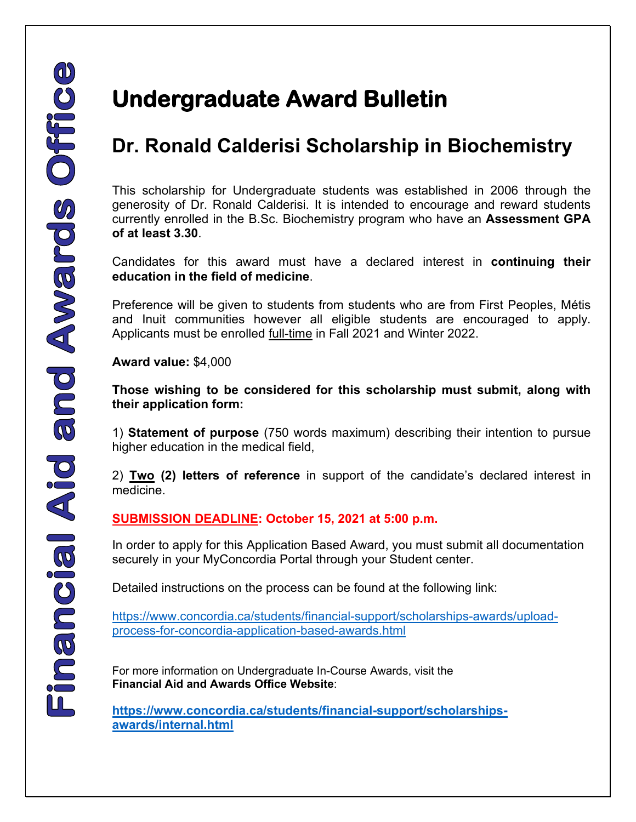## **Dr. Ronald Calderisi Scholarship in Biochemistry**

This scholarship for Undergraduate students was established in 2006 through the generosity of Dr. Ronald Calderisi. It is intended to encourage and reward students currently enrolled in the B.Sc. Biochemistry program who have an **Assessment GPA of at least 3.30**.

Candidates for this award must have a declared interest in **continuing their education in the field of medicine**.

Preference will be given to students from students who are from First Peoples, Métis and Inuit communities however all eligible students are encouraged to apply. Applicants must be enrolled full-time in Fall 2021 and Winter 2022.

**Award value:** \$4,000

**Those wishing to be considered for this scholarship must submit, along with their application form:**

1) **Statement of purpose** (750 words maximum) describing their intention to pursue higher education in the medical field,

2) **Two (2) letters of reference** in support of the candidate's declared interest in medicine.

## **SUBMISSION DEADLINE: October 15, 2021 at 5:00 p.m.**

In order to apply for this Application Based Award, you must submit all documentation securely in your MyConcordia Portal through your Student center.

Detailed instructions on the process can be found at the following link:

[https://www.concordia.ca/students/financial-support/scholarships-awards/upload](https://www.concordia.ca/students/financial-support/scholarships-awards/upload-process-for-concordia-application-based-awards.html)[process-for-concordia-application-based-awards.html](https://www.concordia.ca/students/financial-support/scholarships-awards/upload-process-for-concordia-application-based-awards.html)

For more information on Undergraduate In-Course Awards, visit the **Financial Aid and Awards Office Website**:

**[https://www.concordia.ca/students/financial-support/scholarships](https://www.concordia.ca/students/financial-support/scholarships-awards/internal.html)[awards/internal.html](https://www.concordia.ca/students/financial-support/scholarships-awards/internal.html)**